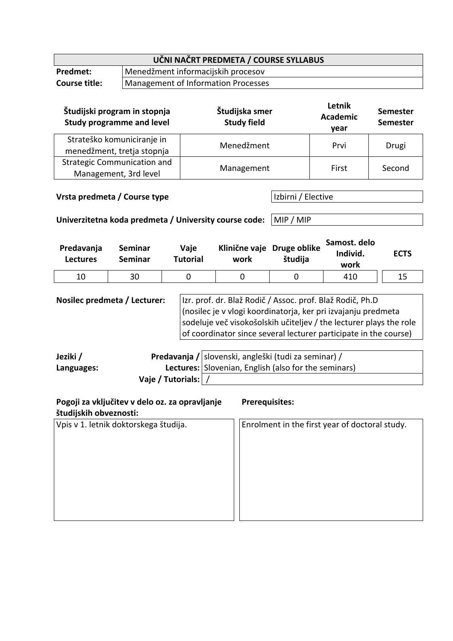|                                                                                           |                            |                                     |                                                                                                                                                                                                                                                                      | UČNI NAČRT PREDMETA / COURSE SYLLABUS                      |                                  |                                   |             |                                    |  |
|-------------------------------------------------------------------------------------------|----------------------------|-------------------------------------|----------------------------------------------------------------------------------------------------------------------------------------------------------------------------------------------------------------------------------------------------------------------|------------------------------------------------------------|----------------------------------|-----------------------------------|-------------|------------------------------------|--|
| Predmet:                                                                                  |                            | Menedžment informacijskih procesov  |                                                                                                                                                                                                                                                                      |                                                            |                                  |                                   |             |                                    |  |
| <b>Course title:</b>                                                                      |                            | Management of Information Processes |                                                                                                                                                                                                                                                                      |                                                            |                                  |                                   |             |                                    |  |
| Študijski program in stopnja<br><b>Study programme and level</b>                          |                            |                                     | Študijska smer<br><b>Study field</b>                                                                                                                                                                                                                                 |                                                            |                                  | Letnik<br><b>Academic</b><br>year |             | <b>Semester</b><br><b>Semester</b> |  |
|                                                                                           | Strateško komuniciranje in |                                     | Menedžment                                                                                                                                                                                                                                                           |                                                            |                                  | Prvi                              |             | Drugi                              |  |
| menedžment, tretja stopnja<br><b>Strategic Communication and</b><br>Management, 3rd level |                            |                                     | Management                                                                                                                                                                                                                                                           |                                                            |                                  | First                             |             | Second                             |  |
| Vrsta predmeta / Course type                                                              |                            |                                     |                                                                                                                                                                                                                                                                      | Izbirni / Elective                                         |                                  |                                   |             |                                    |  |
| Univerzitetna koda predmeta / University course code:                                     |                            |                                     |                                                                                                                                                                                                                                                                      |                                                            | MIP / MIP                        |                                   |             |                                    |  |
| Predavanja<br><b>Seminar</b><br><b>Seminar</b><br><b>Lectures</b>                         |                            | Vaje<br><b>Tutorial</b>             | Klinične vaje Druge oblike<br>work                                                                                                                                                                                                                                   | študija                                                    | Samost. delo<br>Individ.<br>work |                                   | <b>ECTS</b> |                                    |  |
| 10                                                                                        | 30                         |                                     | 0                                                                                                                                                                                                                                                                    | 0                                                          | $\mathbf 0$                      | 410                               |             | 15                                 |  |
| Nosilec predmeta / Lecturer:                                                              |                            |                                     | Izr. prof. dr. Blaž Rodič / Assoc. prof. Blaž Rodič, Ph.D<br>(nosilec je v vlogi koordinatorja, ker pri izvajanju predmeta<br>sodeluje več visokošolskih učiteljev / the lecturer plays the role<br>of coordinator since several lecturer participate in the course) |                                                            |                                  |                                   |             |                                    |  |
| leziki /                                                                                  |                            |                                     |                                                                                                                                                                                                                                                                      | <b>Predavania / slovenski angleški (tudi za seminar) /</b> |                                  |                                   |             |                                    |  |

| Jeziki /   |                     | Predavanja / slovenski, angleški (tudi za seminar) / |
|------------|---------------------|------------------------------------------------------|
| Languages: |                     | Lectures: Slovenian, English (also for the seminars) |
|            | Vaje / Tutorials: / |                                                      |

| Pogoji za vključitev v delo oz. za opravljanje<br>študijskih obveznosti: | <b>Prerequisites:</b>                          |
|--------------------------------------------------------------------------|------------------------------------------------|
| Vpis v 1. letnik doktorskega študija.                                    | Enrolment in the first year of doctoral study. |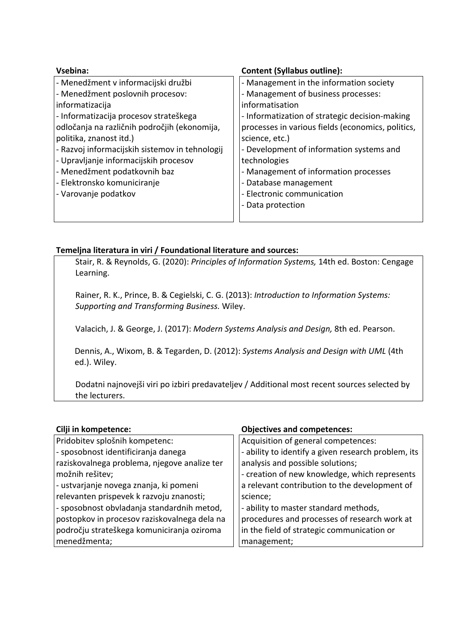| Vsebina:                                       | <b>Content (Syllabus outline):</b>                |
|------------------------------------------------|---------------------------------------------------|
| - Menedžment v informacijski družbi            | - Management in the information society           |
| - Menedžment poslovnih procesov:               | - Management of business processes:               |
| informatizacija                                | informatisation                                   |
| - Informatizacija procesov strateškega         | - Informatization of strategic decision-making    |
| odločanja na različnih področjih (ekonomija,   | processes in various fields (economics, politics, |
| politika, znanost itd.)                        | science, etc.)                                    |
| - Razvoj informacijskih sistemov in tehnologij | - Development of information systems and          |
| - Upravljanje informacijskih procesov          | technologies                                      |
| - Menedžment podatkovnih baz                   | - Management of information processes             |
| - Elektronsko komuniciranje                    | - Database management                             |
| - Varovanje podatkov                           | - Electronic communication                        |
|                                                | - Data protection                                 |
|                                                |                                                   |

## **Temeljna literatura in viri / Foundational literature and sources:**

Stair, R. & Reynolds, G. (2020): *Principles of Information Systems,* 14th ed. Boston: Cengage Learning.

Rainer, R. K., Prince, B. & Cegielski, C. G. (2013): *Introduction to Information Systems: Supporting and Transforming Business.* Wiley.

Valacich, J. & George, J. (2017): *Modern Systems Analysis and Design,* 8th ed. Pearson.

 Dennis, A., Wixom, B. & Tegarden, D. (2012): *Systems Analysis and Design with UML* (4th ed.). Wiley.

Dodatni najnovejši viri po izbiri predavateljev / Additional most recent sources selected by the lecturers.

## **Cilji in kompetence: Objectives and competences:**

| Pridobitev splošnih kompetenc:               | Acquisition of general competences:                 |
|----------------------------------------------|-----------------------------------------------------|
| - sposobnost identificiranja danega          | - ability to identify a given research problem, its |
| raziskovalnega problema, njegove analize ter | analysis and possible solutions;                    |
| možnih rešitev;                              | - creation of new knowledge, which represents       |
| - ustvarjanje novega znanja, ki pomeni       | a relevant contribution to the development of       |
| relevanten prispevek k razvoju znanosti;     | science;                                            |
| - sposobnost obvladanja standardnih metod,   | - ability to master standard methods,               |
| postopkov in procesov raziskovalnega dela na | procedures and processes of research work at        |
| področju strateškega komuniciranja oziroma   | in the field of strategic communication or          |
| menedžmenta;                                 | management;                                         |
|                                              |                                                     |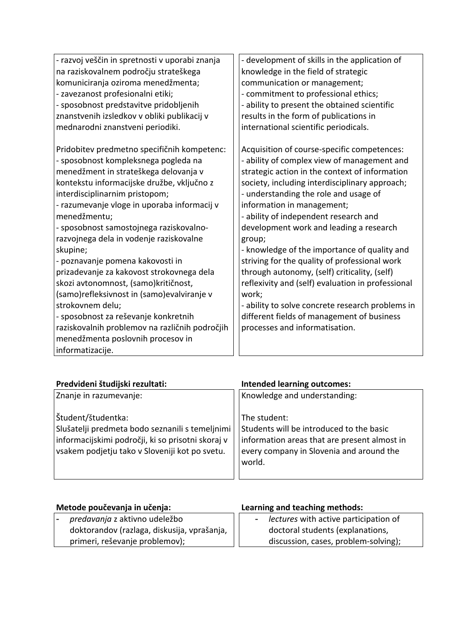| - razvoj veščin in spretnosti v uporabi znanja | - development of skills in the application of     |
|------------------------------------------------|---------------------------------------------------|
| na raziskovalnem področju strateškega          | knowledge in the field of strategic               |
| komuniciranja oziroma menedžmenta;             | communication or management;                      |
| - zavezanost profesionalni etiki;              | - commitment to professional ethics;              |
| - sposobnost predstavitve pridobljenih         | - ability to present the obtained scientific      |
| znanstvenih izsledkov v obliki publikacij v    | results in the form of publications in            |
| mednarodni znanstveni periodiki.               | international scientific periodicals.             |
|                                                |                                                   |
| Pridobitev predmetno specifičnih kompetenc:    | Acquisition of course-specific competences:       |
| - sposobnost kompleksnega pogleda na           | - ability of complex view of management and       |
| menedžment in strateškega delovanja v          | strategic action in the context of information    |
| kontekstu informacijske družbe, vključno z     | society, including interdisciplinary approach;    |
| interdisciplinarnim pristopom;                 | - understanding the role and usage of             |
| - razumevanje vloge in uporaba informacij v    | information in management;                        |
| menedžmentu;                                   | - ability of independent research and             |
| - sposobnost samostojnega raziskovalno-        | development work and leading a research           |
| razvojnega dela in vodenje raziskovalne        | group;                                            |
| skupine;                                       | - knowledge of the importance of quality and      |
| - poznavanje pomena kakovosti in               | striving for the quality of professional work     |
| prizadevanje za kakovost strokovnega dela      | through autonomy, (self) criticality, (self)      |
| skozi avtonomnost, (samo)kritičnost,           | reflexivity and (self) evaluation in professional |
| (samo)refleksivnost in (samo)evalviranje v     | work;                                             |
| strokovnem delu;                               | - ability to solve concrete research problems in  |
| - sposobnost za reševanje konkretnih           | different fields of management of business        |
| raziskovalnih problemov na različnih področjih | processes and informatisation.                    |
| menedžmenta poslovnih procesov in              |                                                   |
| informatizacije.                               |                                                   |

| Predvideni študijski rezultati:                                                                                                                                              | <b>Intended learning outcomes:</b>                                                                                                                             |  |  |
|------------------------------------------------------------------------------------------------------------------------------------------------------------------------------|----------------------------------------------------------------------------------------------------------------------------------------------------------------|--|--|
| Znanje in razumevanje:                                                                                                                                                       | Knowledge and understanding:                                                                                                                                   |  |  |
| Študent/študentka:<br>Slušatelji predmeta bodo seznanili s temeljnimi<br>informacijskimi področji, ki so prisotni skoraj v<br>vsakem podjetju tako v Sloveniji kot po svetu. | The student:<br>Students will be introduced to the basic<br>information areas that are present almost in<br>every company in Slovenia and around the<br>world. |  |  |

| Metode poučevanja in učenja:                | Learning and teaching methods:          |  |  |  |
|---------------------------------------------|-----------------------------------------|--|--|--|
| predavanja z aktivno udeležbo               | - lectures with active participation of |  |  |  |
| doktorandov (razlaga, diskusija, vprašanja, | doctoral students (explanations,        |  |  |  |
| primeri, reševanje problemov);              | discussion, cases, problem-solving);    |  |  |  |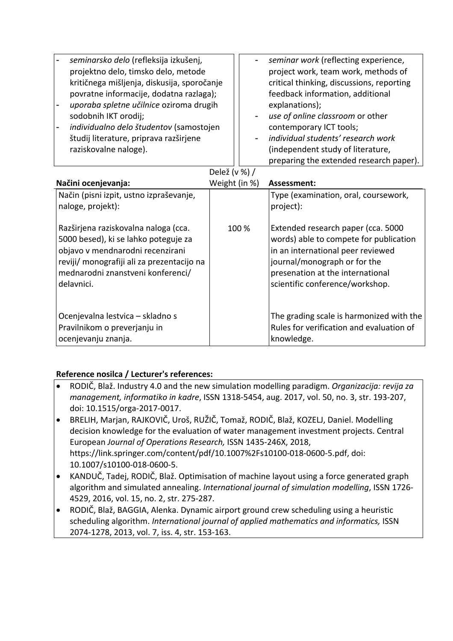| seminarsko delo (refleksija izkušenj,<br>projektno delo, timsko delo, metode<br>kritičnega mišljenja, diskusija, sporočanje<br>povratne informacije, dodatna razlaga);<br>uporaba spletne učilnice oziroma drugih<br>sodobnih IKT orodij;<br>individualno delo študentov (samostojen |               | seminar work (reflecting experience,<br>project work, team work, methods of<br>critical thinking, discussions, reporting<br>feedback information, additional<br>explanations);<br>use of online classroom or other<br>contemporary ICT tools; |
|--------------------------------------------------------------------------------------------------------------------------------------------------------------------------------------------------------------------------------------------------------------------------------------|---------------|-----------------------------------------------------------------------------------------------------------------------------------------------------------------------------------------------------------------------------------------------|
| študij literature, priprava razširjene                                                                                                                                                                                                                                               |               | individual students' research work                                                                                                                                                                                                            |
| raziskovalne naloge).                                                                                                                                                                                                                                                                |               | (independent study of literature,                                                                                                                                                                                                             |
|                                                                                                                                                                                                                                                                                      |               | preparing the extended research paper).                                                                                                                                                                                                       |
|                                                                                                                                                                                                                                                                                      | Delež (v %) / |                                                                                                                                                                                                                                               |
| Načini ocenjevanja:                                                                                                                                                                                                                                                                  | Weight (in %) | Assessment:                                                                                                                                                                                                                                   |
| Način (pisni izpit, ustno izpraševanje,<br>naloge, projekt):                                                                                                                                                                                                                         |               | Type (examination, oral, coursework,<br>project):                                                                                                                                                                                             |
| Razširjena raziskovalna naloga (cca.<br>5000 besed), ki se lahko poteguje za<br>objavo v mendnarodni recenzirani<br>reviji/ monografiji ali za prezentacijo na<br>mednarodni znanstveni konferenci/<br>delavnici.                                                                    | 100 %         | Extended research paper (cca. 5000<br>words) able to compete for publication<br>in an international peer reviewed<br>journal/monograph or for the<br>presenation at the international<br>scientific conference/workshop.                      |
| Ocenjevalna lestvica - skladno s<br>Pravilnikom o preverjanju in                                                                                                                                                                                                                     |               | The grading scale is harmonized with the<br>Rules for verification and evaluation of                                                                                                                                                          |

## **Reference nosilca / Lecturer's references:**

ocenjevanju znanja.

• RODIČ, Blaž. Industry 4.0 and the new simulation modelling paradigm. *Organizacija: revija za management, informatiko in kadre*, ISSN 1318-5454, aug. 2017, vol. 50, no. 3, str. 193-207, doi: 10.1515/orga-2017-0017.

knowledge.

- BRELIH, Marjan, RAJKOVIČ, Uroš, RUŽIČ, Tomaž, RODIČ, Blaž, KOZELJ, Daniel. Modelling decision knowledge for the evaluation of water management investment projects. Central European *Journal of Operations Research,* ISSN 1435-246X, 2018, https://link.springer.com/content/pdf/10.1007%2Fs10100-018-0600-5.pdf, doi: 10.1007/s10100-018-0600-5.
- KANDUČ, Tadej, RODIČ, Blaž. Optimisation of machine layout using a force generated graph algorithm and simulated annealing. *International journal of simulation modelling*, ISSN 1726- 4529, 2016, vol. 15, no. 2, str. 275-287.
- RODIČ, Blaž, BAGGIA, Alenka. Dynamic airport ground crew scheduling using a heuristic scheduling algorithm. *International journal of applied mathematics and informatics,* ISSN 2074-1278, 2013, vol. 7, iss. 4, str. 153-163.